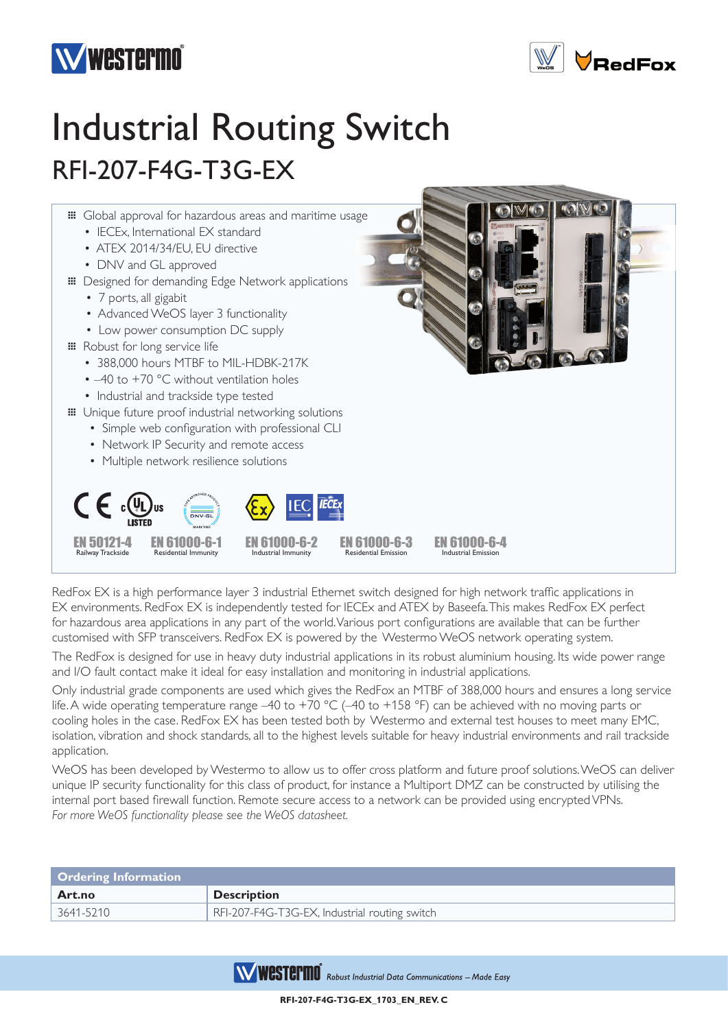



## Industrial Routing Switch RFI-207-F4G-T3G-EX



RedFox EX is a high performance layer 3 industrial Ethernet switch designed for high network traffic applications in EX environments. RedFox EX is independently tested for IECEx and ATEX by Baseefa. This makes RedFox EX perfect for hazardous area applications in any part of the world. Various port configurations are available that can be further customised with SFP transceivers. RedFox EX is powered by the Westermo WeOS network operating system.

The RedFox is designed for use in heavy duty industrial applications in its robust aluminium housing. Its wide power range and I/O fault contact make it ideal for easy installation and monitoring in industrial applications.

Only industrial grade components are used which gives the RedFox an MTBF of 388,000 hours and ensures a long service life. A wide operating temperature range –40 to +70 °C (–40 to +158 °F) can be achieved with no moving parts or cooling holes in the case. RedFox EX has been tested both by Westermo and external test houses to meet many EMC, isolation, vibration and shock standards, all to the highest levels suitable for heavy industrial environments and rail trackside application.

WeOS has been developed by Westermo to allow us to offer cross platform and future proof solutions. WeOS can deliver unique IP security functionality for this class of product, for instance a Multiport DMZ can be constructed by utilising the internal port based firewall function. Remote secure access to a network can be provided using encrypted VPNs. *For more WeOS functionality please see the WeOS datasheet.*

| <b>Ordering Information</b> |                                               |  |
|-----------------------------|-----------------------------------------------|--|
| Art.no                      | <b>Description</b>                            |  |
| 3641-5210                   | RFI-207-F4G-T3G-EX, Industrial routing switch |  |